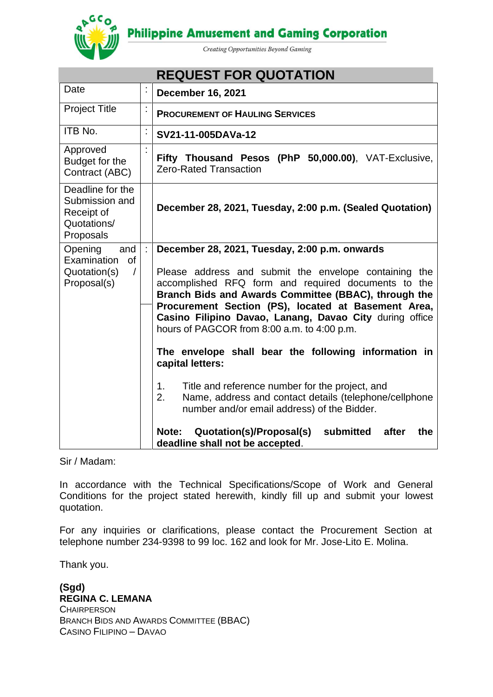**Philippine Amusement and Gaming Corporation** 



Creating Opportunities Beyond Gaming

| <b>REQUEST FOR QUOTATION</b>                                                          |                      |                                                                                                                                                                                                                                                                                                                                                                                                                                                                                                                                                                                                                                                                                                              |
|---------------------------------------------------------------------------------------|----------------------|--------------------------------------------------------------------------------------------------------------------------------------------------------------------------------------------------------------------------------------------------------------------------------------------------------------------------------------------------------------------------------------------------------------------------------------------------------------------------------------------------------------------------------------------------------------------------------------------------------------------------------------------------------------------------------------------------------------|
| Date                                                                                  | İ,                   | <b>December 16, 2021</b>                                                                                                                                                                                                                                                                                                                                                                                                                                                                                                                                                                                                                                                                                     |
| <b>Project Title</b>                                                                  | $\ddot{\phantom{a}}$ | <b>PROCUREMENT OF HAULING SERVICES</b>                                                                                                                                                                                                                                                                                                                                                                                                                                                                                                                                                                                                                                                                       |
| ITB No.                                                                               | $\vdots$             | SV21-11-005DAVa-12                                                                                                                                                                                                                                                                                                                                                                                                                                                                                                                                                                                                                                                                                           |
| Approved<br>Budget for the<br>Contract (ABC)                                          |                      | Fifty Thousand Pesos (PhP 50,000.00), VAT-Exclusive,<br><b>Zero-Rated Transaction</b>                                                                                                                                                                                                                                                                                                                                                                                                                                                                                                                                                                                                                        |
| Deadline for the<br>Submission and<br>Receipt of<br>Quotations/<br>Proposals          |                      | December 28, 2021, Tuesday, 2:00 p.m. (Sealed Quotation)                                                                                                                                                                                                                                                                                                                                                                                                                                                                                                                                                                                                                                                     |
| Opening<br>and<br>Examination<br><b>of</b><br>Quotation(s)<br>$\prime$<br>Proposal(s) | ÷                    | December 28, 2021, Tuesday, 2:00 p.m. onwards<br>Please address and submit the envelope containing the<br>accomplished RFQ form and required documents to the<br>Branch Bids and Awards Committee (BBAC), through the<br>Procurement Section (PS), located at Basement Area,<br>Casino Filipino Davao, Lanang, Davao City during office<br>hours of PAGCOR from 8:00 a.m. to 4:00 p.m.<br>The envelope shall bear the following information in<br>capital letters:<br>Title and reference number for the project, and<br>1.<br>2.<br>Name, address and contact details (telephone/cellphone<br>number and/or email address) of the Bidder.<br>Quotation(s)/Proposal(s)<br>submitted<br>after<br>Note:<br>the |
|                                                                                       |                      | deadline shall not be accepted.                                                                                                                                                                                                                                                                                                                                                                                                                                                                                                                                                                                                                                                                              |

Sir / Madam:

In accordance with the Technical Specifications/Scope of Work and General Conditions for the project stated herewith, kindly fill up and submit your lowest quotation.

For any inquiries or clarifications, please contact the Procurement Section at telephone number 234-9398 to 99 loc. 162 and look for Mr. Jose-Lito E. Molina.

Thank you.

**(Sgd) REGINA C. LEMANA CHAIRPERSON** BRANCH BIDS AND AWARDS COMMITTEE (BBAC) CASINO FILIPINO – DAVAO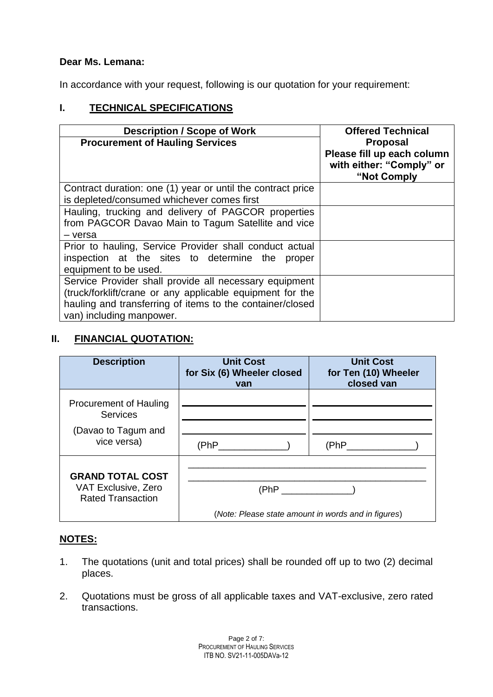## **Dear Ms. Lemana:**

In accordance with your request, following is our quotation for your requirement:

# **I. TECHNICAL SPECIFICATIONS**

| <b>Description / Scope of Work</b>                                                                                                                                                                           | <b>Offered Technical</b>                                                  |
|--------------------------------------------------------------------------------------------------------------------------------------------------------------------------------------------------------------|---------------------------------------------------------------------------|
| <b>Procurement of Hauling Services</b>                                                                                                                                                                       | <b>Proposal</b><br>Please fill up each column<br>with either: "Comply" or |
|                                                                                                                                                                                                              | "Not Comply                                                               |
| Contract duration: one (1) year or until the contract price<br>is depleted/consumed whichever comes first                                                                                                    |                                                                           |
| Hauling, trucking and delivery of PAGCOR properties<br>from PAGCOR Davao Main to Tagum Satellite and vice<br>- versa                                                                                         |                                                                           |
| Prior to hauling, Service Provider shall conduct actual<br>inspection at the sites to determine the<br>proper<br>equipment to be used.                                                                       |                                                                           |
| Service Provider shall provide all necessary equipment<br>(truck/forklift/crane or any applicable equipment for the<br>hauling and transferring of items to the container/closed<br>van) including manpower. |                                                                           |

# **II. FINANCIAL QUOTATION:**

| <b>Description</b>                                                         | <b>Unit Cost</b><br>for Six (6) Wheeler closed<br>van       | <b>Unit Cost</b><br>for Ten (10) Wheeler<br>closed van |
|----------------------------------------------------------------------------|-------------------------------------------------------------|--------------------------------------------------------|
| <b>Procurement of Hauling</b><br><b>Services</b><br>(Davao to Tagum and    |                                                             |                                                        |
| vice versa)                                                                | (PhP                                                        | (PhP                                                   |
| <b>GRAND TOTAL COST</b><br>VAT Exclusive, Zero<br><b>Rated Transaction</b> | (PhP<br>(Note: Please state amount in words and in figures) |                                                        |

# **NOTES:**

- 1. The quotations (unit and total prices) shall be rounded off up to two (2) decimal places.
- 2. Quotations must be gross of all applicable taxes and VAT-exclusive, zero rated transactions.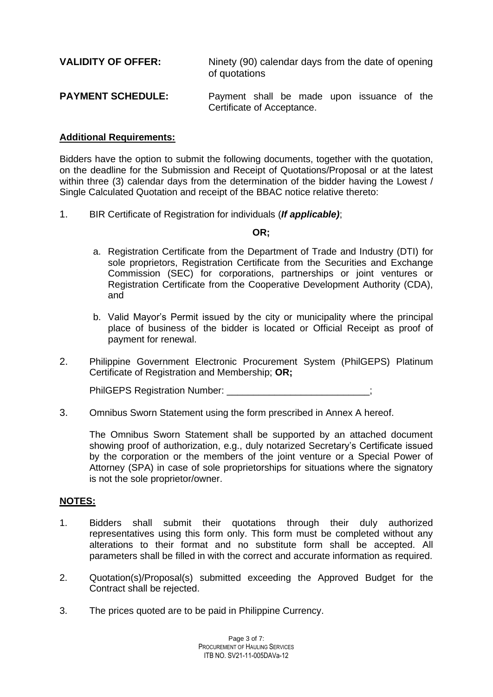| <b>VALIDITY OF OFFER:</b> | Ninety (90) calendar days from the date of opening<br>of quotations      |  |  |  |
|---------------------------|--------------------------------------------------------------------------|--|--|--|
| <b>PAYMENT SCHEDULE:</b>  | Payment shall be made upon issuance of the<br>Certificate of Acceptance. |  |  |  |

### **Additional Requirements:**

Bidders have the option to submit the following documents, together with the quotation, on the deadline for the Submission and Receipt of Quotations/Proposal or at the latest within three (3) calendar days from the determination of the bidder having the Lowest / Single Calculated Quotation and receipt of the BBAC notice relative thereto:

1. BIR Certificate of Registration for individuals (*If applicable)*;

### **OR;**

- a. Registration Certificate from the Department of Trade and Industry (DTI) for sole proprietors, Registration Certificate from the Securities and Exchange Commission (SEC) for corporations, partnerships or joint ventures or Registration Certificate from the Cooperative Development Authority (CDA), and
- b. Valid Mayor's Permit issued by the city or municipality where the principal place of business of the bidder is located or Official Receipt as proof of payment for renewal.
- 2. Philippine Government Electronic Procurement System (PhilGEPS) Platinum Certificate of Registration and Membership; **OR;**

PhilGEPS Registration Number: \_\_\_\_\_\_\_\_\_\_\_\_

3. Omnibus Sworn Statement using the form prescribed in Annex A hereof.

The Omnibus Sworn Statement shall be supported by an attached document showing proof of authorization, e.g., duly notarized Secretary's Certificate issued by the corporation or the members of the joint venture or a Special Power of Attorney (SPA) in case of sole proprietorships for situations where the signatory is not the sole proprietor/owner.

### **NOTES:**

- 1. Bidders shall submit their quotations through their duly authorized representatives using this form only. This form must be completed without any alterations to their format and no substitute form shall be accepted. All parameters shall be filled in with the correct and accurate information as required.
- 2. Quotation(s)/Proposal(s) submitted exceeding the Approved Budget for the Contract shall be rejected.
- 3. The prices quoted are to be paid in Philippine Currency.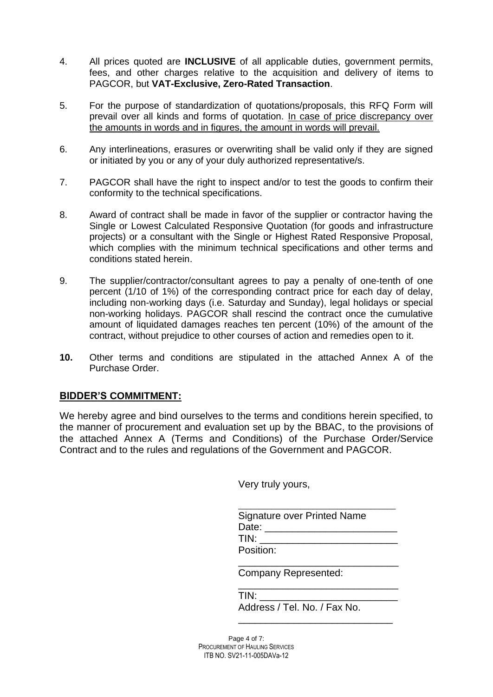- 4. All prices quoted are **INCLUSIVE** of all applicable duties, government permits, fees, and other charges relative to the acquisition and delivery of items to PAGCOR, but **VAT-Exclusive, Zero-Rated Transaction**.
- 5. For the purpose of standardization of quotations/proposals, this RFQ Form will prevail over all kinds and forms of quotation. In case of price discrepancy over the amounts in words and in figures, the amount in words will prevail.
- 6. Any interlineations, erasures or overwriting shall be valid only if they are signed or initiated by you or any of your duly authorized representative/s.
- 7. PAGCOR shall have the right to inspect and/or to test the goods to confirm their conformity to the technical specifications.
- 8. Award of contract shall be made in favor of the supplier or contractor having the Single or Lowest Calculated Responsive Quotation (for goods and infrastructure projects) or a consultant with the Single or Highest Rated Responsive Proposal, which complies with the minimum technical specifications and other terms and conditions stated herein.
- 9. The supplier/contractor/consultant agrees to pay a penalty of one-tenth of one percent (1/10 of 1%) of the corresponding contract price for each day of delay, including non-working days (i.e. Saturday and Sunday), legal holidays or special non-working holidays. PAGCOR shall rescind the contract once the cumulative amount of liquidated damages reaches ten percent (10%) of the amount of the contract, without prejudice to other courses of action and remedies open to it.
- **10.** Other terms and conditions are stipulated in the attached Annex A of the Purchase Order.

### **BIDDER'S COMMITMENT:**

We hereby agree and bind ourselves to the terms and conditions herein specified, to the manner of procurement and evaluation set up by the BBAC, to the provisions of the attached Annex A (Terms and Conditions) of the Purchase Order/Service Contract and to the rules and regulations of the Government and PAGCOR.

Very truly yours,

| Signature over Printed Name |  |
|-----------------------------|--|
| Date:                       |  |
| TIN:                        |  |
| Position:                   |  |

\_\_\_\_\_\_\_\_\_\_\_\_\_\_\_\_\_\_\_\_\_\_\_\_\_\_\_\_\_

\_\_\_\_\_\_\_\_\_\_\_\_\_\_\_\_\_\_\_\_\_\_\_\_\_\_\_\_\_

\_\_\_\_\_\_\_\_\_\_\_\_\_\_\_\_\_\_\_\_\_\_\_\_\_\_\_\_

Company Represented:

| TIN:                         |  |
|------------------------------|--|
| Address / Tel. No. / Fax No. |  |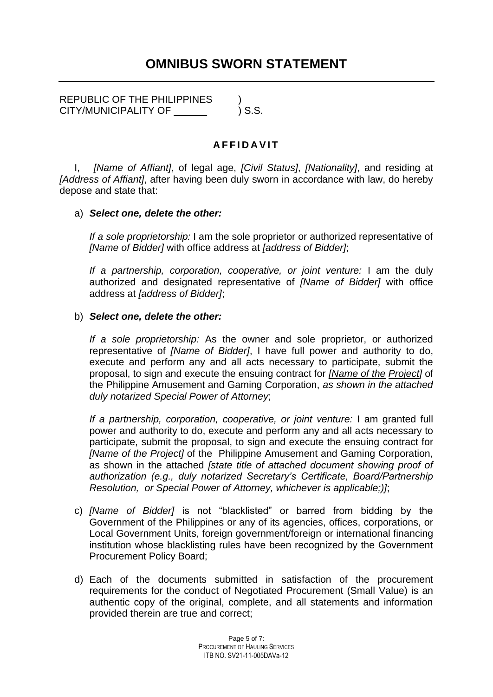REPUBLIC OF THE PHILIPPINES  $\qquad$ ) CITY/MUNICIPALITY OF  $\qquad \qquad$  ) S.S.

# **A F F I D A V I T**

I, *[Name of Affiant]*, of legal age, *[Civil Status]*, *[Nationality]*, and residing at *[Address of Affiant]*, after having been duly sworn in accordance with law, do hereby depose and state that:

### a) *Select one, delete the other:*

*If a sole proprietorship:* I am the sole proprietor or authorized representative of *[Name of Bidder]* with office address at *[address of Bidder]*;

*If a partnership, corporation, cooperative, or joint venture:* I am the duly authorized and designated representative of *[Name of Bidder]* with office address at *[address of Bidder]*;

### b) *Select one, delete the other:*

*If a sole proprietorship:* As the owner and sole proprietor, or authorized representative of *[Name of Bidder]*, I have full power and authority to do, execute and perform any and all acts necessary to participate, submit the proposal, to sign and execute the ensuing contract for *[Name of the Project]* of the Philippine Amusement and Gaming Corporation, *as shown in the attached duly notarized Special Power of Attorney*;

*If a partnership, corporation, cooperative, or joint venture:* I am granted full power and authority to do, execute and perform any and all acts necessary to participate, submit the proposal, to sign and execute the ensuing contract for *[Name of the Project]* of the Philippine Amusement and Gaming Corporation*,*  as shown in the attached *[state title of attached document showing proof of authorization (e.g., duly notarized Secretary's Certificate, Board/Partnership Resolution, or Special Power of Attorney, whichever is applicable;)]*;

- c) *[Name of Bidder]* is not "blacklisted" or barred from bidding by the Government of the Philippines or any of its agencies, offices, corporations, or Local Government Units, foreign government/foreign or international financing institution whose blacklisting rules have been recognized by the Government Procurement Policy Board;
- d) Each of the documents submitted in satisfaction of the procurement requirements for the conduct of Negotiated Procurement (Small Value) is an authentic copy of the original, complete, and all statements and information provided therein are true and correct;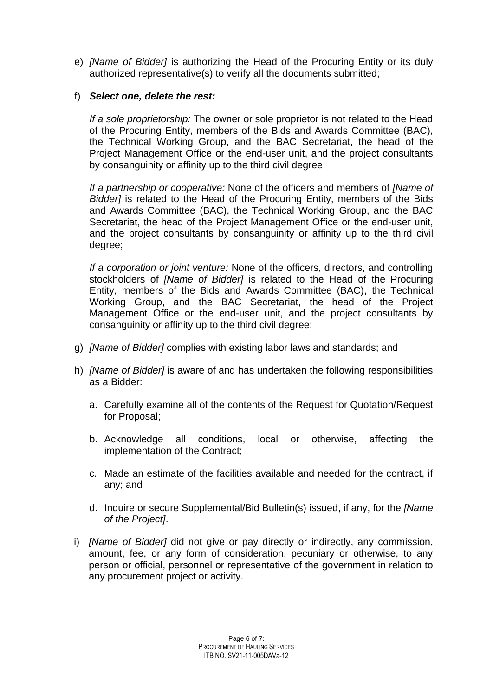e) *[Name of Bidder]* is authorizing the Head of the Procuring Entity or its duly authorized representative(s) to verify all the documents submitted;

## f) *Select one, delete the rest:*

*If a sole proprietorship:* The owner or sole proprietor is not related to the Head of the Procuring Entity, members of the Bids and Awards Committee (BAC), the Technical Working Group, and the BAC Secretariat, the head of the Project Management Office or the end-user unit, and the project consultants by consanguinity or affinity up to the third civil degree;

*If a partnership or cooperative:* None of the officers and members of *[Name of Bidder]* is related to the Head of the Procuring Entity, members of the Bids and Awards Committee (BAC), the Technical Working Group, and the BAC Secretariat, the head of the Project Management Office or the end-user unit, and the project consultants by consanguinity or affinity up to the third civil degree;

*If a corporation or joint venture:* None of the officers, directors, and controlling stockholders of *[Name of Bidder]* is related to the Head of the Procuring Entity, members of the Bids and Awards Committee (BAC), the Technical Working Group, and the BAC Secretariat, the head of the Project Management Office or the end-user unit, and the project consultants by consanguinity or affinity up to the third civil degree;

- g) *[Name of Bidder]* complies with existing labor laws and standards; and
- h) *[Name of Bidder]* is aware of and has undertaken the following responsibilities as a Bidder:
	- a. Carefully examine all of the contents of the Request for Quotation/Request for Proposal;
	- b. Acknowledge all conditions, local or otherwise, affecting the implementation of the Contract;
	- c. Made an estimate of the facilities available and needed for the contract, if any; and
	- d. Inquire or secure Supplemental/Bid Bulletin(s) issued, if any, for the *[Name of the Project]*.
- i) *[Name of Bidder]* did not give or pay directly or indirectly, any commission, amount, fee, or any form of consideration, pecuniary or otherwise, to any person or official, personnel or representative of the government in relation to any procurement project or activity.